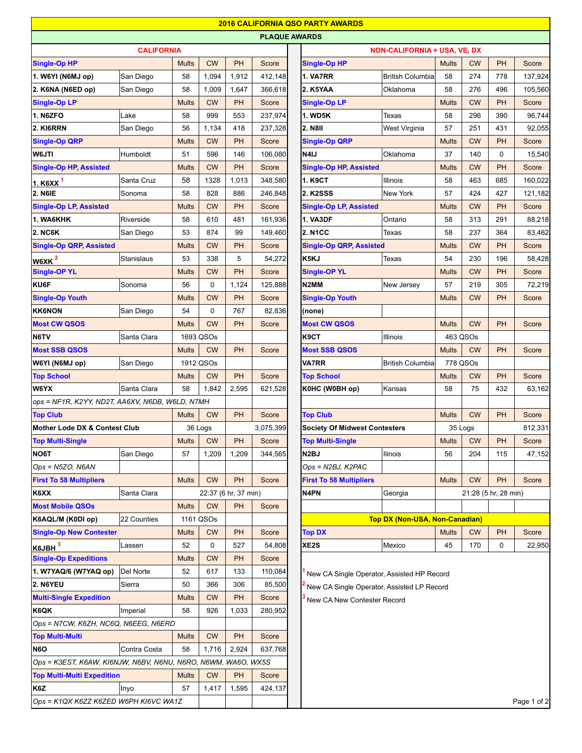|                                                               |                   |                                        |             |                      |                      |                 | <b>2016 CALIFORNIA QSO PARTY AWARDS</b>    |                                       |              |            |                      |             |
|---------------------------------------------------------------|-------------------|----------------------------------------|-------------|----------------------|----------------------|-----------------|--------------------------------------------|---------------------------------------|--------------|------------|----------------------|-------------|
|                                                               | <b>CALIFORNIA</b> |                                        |             |                      | <b>PLAQUE AWARDS</b> |                 |                                            |                                       |              |            |                      |             |
|                                                               |                   |                                        |             |                      |                      |                 | <b>NON-CALIFORNIA = USA, VE, DX</b>        |                                       |              |            |                      |             |
| <b>Single-Op HP</b>                                           |                   | <b>Mults</b>                           | <b>CW</b>   | PH                   | Score                |                 | <b>Single-Op HP</b>                        |                                       | <b>Mults</b> | <b>CW</b>  | <b>PH</b>            | Score       |
| 1. W6YI (N6MJ op)                                             | San Diego         | 58                                     | 1,094       | 1,912                | 412,148              |                 | <b>1. VA7RR</b>                            | <b>British Columbia</b>               | 58           | 274        | 778                  | 137,924     |
| 2. K6NA (N6ED op)                                             | San Diego         | 58                                     | 1,009       | 1,647                | 366,618              |                 | 2. K5YAA                                   | Oklahoma                              | 58           | 276        | 496                  | 105,560     |
| <b>Single-Op LP</b>                                           |                   | <b>Mults</b>                           | <b>CW</b>   | <b>PH</b>            | Score                |                 | <b>Single-Op LP</b>                        |                                       | <b>Mults</b> | <b>CW</b>  | <b>PH</b>            | Score       |
| <b>1. N6ZFO</b>                                               | Lake              | 58                                     | 999         | 553                  | 237,974              |                 | <b>1. WD5K</b>                             | Texas                                 | 58           | 296        | 390                  | 96,744      |
| 2. KI6RRN                                                     | San Diego         | 56                                     | 1,134       | 418                  | 237,328              |                 | <b>2. N8II</b>                             | West Virginia                         | 57           | 251        | 431                  | 92,055      |
| <b>Single-Op QRP</b>                                          |                   | <b>Mults</b>                           | <b>CW</b>   | <b>PH</b>            | Score                |                 | <b>Single-Op QRP</b>                       |                                       | <b>Mults</b> | <b>CW</b>  | PH                   | Score       |
| W6JTI                                                         | Humboldt          | 51                                     | 596         | 146                  | 106,080              |                 | N4IJ                                       | Oklahoma                              | 37           | 140        | 0                    | 15,540      |
| <b>Single-Op HP, Assisted</b>                                 |                   | <b>Mults</b>                           | <b>CW</b>   | PH                   | Score                |                 | <b>Single-Op HP, Assisted</b>              |                                       | <b>Mults</b> | <b>CW</b>  | PH                   | Score       |
| <u>1. K6X</u> X <sup>1</sup>                                  | Santa Cruz        | 58                                     | 1328        | 1,013                | 348,580              |                 | 1. K9CT                                    | Illinois                              | 58           | 463        | 685                  | 160,022     |
| 2. N6IE                                                       | Sonoma            | 58                                     | 828         | 886                  | 246,848              |                 | 2. K2SSS                                   | New York                              | 57           | 424        | 427                  | 121,182     |
| <b>Single-Op LP, Assisted</b>                                 |                   | <b>Mults</b>                           | <b>CW</b>   | PH                   | Score                |                 | <b>Single-Op LP, Assisted</b>              |                                       | <b>Mults</b> | <b>CW</b>  | PH                   | Score       |
| 1. WA6KHK                                                     | Riverside         | 58                                     | 610         | 481                  | 161,936              |                 | <b>1. VA3DF</b>                            | Ontario                               | 58           | 313        | 291                  | 88,218      |
| <b>2. NC6K</b>                                                | San Diego         | 53                                     | 874         | 99                   | 149,460              |                 | <b>2. N1CC</b>                             | Texas                                 | 58           | 237        | 364                  | 83,462      |
| <b>Single-Op QRP, Assisted</b>                                |                   | <b>Mults</b>                           | <b>CW</b>   | PH                   | Score                |                 | <b>Single-Op QRP, Assisted</b>             |                                       | <b>Mults</b> | <b>CW</b>  | <b>PH</b>            | Score       |
| W6XK <sup>2</sup>                                             | Stanislaus        | 53                                     | 338         | 5                    | 54,272               |                 | K5KJ                                       | Texas                                 | 54           | 230        | 196                  | 58,428      |
| <b>Single-OP YL</b>                                           |                   | <b>Mults</b>                           | <b>CW</b>   | PH                   | Score                |                 | <b>Single-OP YL</b>                        |                                       | <b>Mults</b> | <b>CW</b>  | PH                   | Score       |
| KU6F                                                          | Sonoma            | 56                                     | $\mathbf 0$ | 1,124                | 125,888              |                 | N2MM                                       | New Jersey                            | 57           | 219        | 305                  | 72,219      |
| <b>Single-Op Youth</b>                                        |                   | <b>Mults</b>                           | <b>CW</b>   | PH                   | Score                |                 | <b>Single-Op Youth</b>                     |                                       | <b>Mults</b> | <b>CW</b>  | PH                   | Score       |
| <b>KK6NON</b>                                                 | San Diego         | 54                                     | 0           | 767                  | 82,836               |                 | (none)                                     |                                       |              |            |                      |             |
| <b>Most CW QSOS</b>                                           |                   | <b>Mults</b>                           | <b>CW</b>   | <b>PH</b>            | Score                |                 | <b>Most CW QSOS</b>                        |                                       | <b>Mults</b> | <b>CW</b>  | <b>PH</b>            | Score       |
| N6TV                                                          | Santa Clara       |                                        | 1693 QSOs   |                      |                      |                 | K9CT<br>Illinois                           |                                       |              | 463 QSOs   |                      |             |
| <b>Most SSB QSOS</b>                                          |                   | <b>Mults</b>                           | <b>CW</b>   | PH                   | Score                |                 | <b>Most SSB QSOS</b>                       |                                       | <b>Mults</b> | <b>CW</b>  | PH                   | Score       |
| W6YI (N6MJ op)                                                | San Diego         | 1912 QSOs                              |             |                      |                      |                 | <b>VA7RR</b><br>British Columbia           |                                       | 778 QSOs     |            |                      |             |
| <b>Top School</b>                                             |                   | <b>Mults</b>                           | <b>CW</b>   | <b>PH</b>            | Score                |                 | <b>Top School</b>                          |                                       | <b>Mults</b> | <b>CW</b>  | <b>PH</b>            | Score       |
| W6YX                                                          | Santa Clara       | 58                                     | 1,842       | 2,595                | 621,528              |                 | K0HC (W0BH op)                             | Kansas                                | 58           | 75         | 432                  | 63,162      |
| ops = NF1R, K2YY, ND2T, AA6XV, N6DB, W6LD, N7MH               |                   |                                        |             |                      |                      |                 |                                            |                                       |              |            |                      |             |
| <b>Top Club</b>                                               |                   | <b>Mults</b><br><b>CW</b><br><b>PH</b> |             | Score                |                      | <b>Top Club</b> |                                            | <b>Mults</b>                          | <b>CW</b>    | <b>PH</b>  | Score                |             |
| Mother Lode DX & Contest Club                                 |                   |                                        | 36 Logs     |                      | 3,075,399            |                 | <b>Society Of Midwest Contesters</b>       |                                       |              | 35 Logs    |                      | 812,331     |
| <b>Top Multi-Single</b>                                       |                   |                                        | Mults   CW  |                      | $ PH $ Score         |                 | <b>Top Multi-Single</b>                    |                                       |              | Mults   CW | PH                   | Score       |
| NO6T                                                          | San Diego         | 57                                     | 1,209       | 1,209                | 344,565              |                 | N <sub>2</sub> BJ                          | Ilinois                               | 56           | 204        | 115                  | 47,152      |
| Ops = N5ZO, N6AN                                              |                   |                                        |             |                      |                      |                 | Ops = N2BJ, K2PAC                          |                                       |              |            |                      |             |
| <b>First To 58 Multipliers</b>                                |                   | <b>Mults</b>                           | <b>CW</b>   | PH                   | Score                |                 | <b>First To 58 Multipliers</b>             |                                       | <b>Mults</b> | <b>CW</b>  | PH                   | Score       |
| K6XX                                                          | Santa Clara       |                                        |             | 22:37 (6 hr, 37 min) |                      |                 | N4PN                                       | Georgia                               |              |            | 21:28 (5 hr, 28 min) |             |
| <b>Most Mobile QSOs</b>                                       |                   | <b>Mults</b>                           | <b>CW</b>   | <b>PH</b>            | Score                |                 |                                            |                                       |              |            |                      |             |
| K6AQL/M (K0DI op)                                             | 22 Counties       |                                        | 1161 QSOs   |                      |                      |                 |                                            | <b>Top DX (Non-USA, Non-Canadian)</b> |              |            |                      |             |
| <b>Single-Op New Contester</b>                                |                   | <b>Mults</b>                           | <b>CW</b>   | PH                   | Score                |                 | <b>Top DX</b>                              |                                       | <b>Mults</b> | <b>CW</b>  | <b>PH</b>            | Score       |
| K6JBH <sup>3</sup>                                            | Lassen            | 52                                     | 0           | 527                  | 54,808               |                 | XE <sub>2</sub> S                          | Mexico                                | 45           | 170        | 0                    | 22,950      |
| <b>Single-Op Expeditions</b>                                  |                   | <b>Mults</b>                           | <b>CW</b>   | PH                   | Score                |                 |                                            |                                       |              |            |                      |             |
| 1. W7YAQ/6 (W7YAQ op)                                         | Del Norte         | 52                                     | 617         | 133                  | 110,084              |                 | New CA Single Operator, Assisted HP Record |                                       |              |            |                      |             |
| <b>2. N6YEU</b>                                               | Sierra            | 50                                     | 366         | 306                  | 85,500               |                 | New CA Single Operator, Assisted LP Record |                                       |              |            |                      |             |
| <b>Multi-Single Expedition</b>                                |                   | <b>Mults</b>                           | <b>CW</b>   | <b>PH</b>            | Score                |                 | New CA New Contester Record                |                                       |              |            |                      |             |
| K6QK                                                          | Imperial          | 58                                     | 926         | 1,033                | 280,952              |                 |                                            |                                       |              |            |                      |             |
| Ops = N7CW, K6ZH, NC6Q, N6EEG, N6ERD                          |                   |                                        |             |                      |                      |                 |                                            |                                       |              |            |                      |             |
| <b>Top Multi-Multi</b>                                        |                   | <b>Mults</b>                           | <b>CW</b>   | <b>PH</b>            | Score                |                 |                                            |                                       |              |            |                      |             |
| <b>N6O</b>                                                    | Contra Costa      | 58                                     | 1,716       | 2,924                | 637,768              |                 |                                            |                                       |              |            |                      |             |
| Ops = K3EST, K6AW, KI6NJW, N6BV, N6NU, N6RO, N6WM, WA6O, WX5S |                   |                                        |             |                      |                      |                 |                                            |                                       |              |            |                      |             |
| <b>Top Multi-Multi Expedition</b>                             |                   | <b>Mults</b>                           | <b>CW</b>   | <b>PH</b>            | Score                |                 |                                            |                                       |              |            |                      |             |
| K6Z                                                           | Inyo              | 57                                     | 1,417       | 1,595                | 424,137              |                 |                                            |                                       |              |            |                      |             |
| Ops = K1QX K6ZZ K6ZED W6PH KI6VC WA1Z                         |                   |                                        |             |                      |                      |                 |                                            |                                       |              |            |                      | Page 1 of 2 |